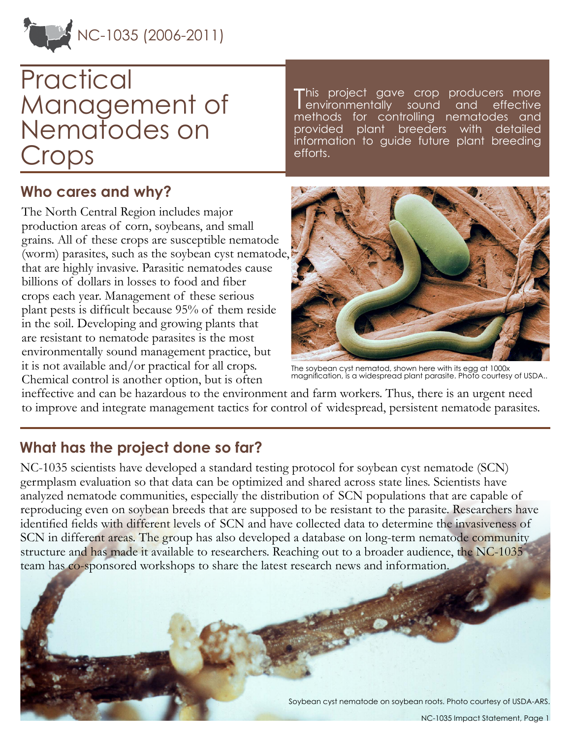

# **Practical** Management of Nematodes on Crops

### **Who cares and why?**

The North Central Region includes major production areas of corn, soybeans, and small grains. All of these crops are susceptible nematode (worm) parasites, such as the soybean cyst nematode, that are highly invasive. Parasitic nematodes cause billions of dollars in losses to food and fiber crops each year. Management of these serious plant pests is difficult because 95% of them reside in the soil. Developing and growing plants that are resistant to nematode parasites is the most environmentally sound management practice, but it is not available and/or practical for all crops. Chemical control is another option, but is often

This project gave crop producers more<br>
environmentally sound and effective environmentally sound methods for controlling nematodes provided plant breeders with information to guide future plant breeding efforts.



The soybean cyst nematod, shown here with its egg at 1000x magnification, is a widespread plant parasite. Photo courtesy of USDA..

ineffective and can be hazardous to the environment and farm workers. Thus, there is an urgent need to improve and integrate management tactics for control of widespread, persistent nematode parasites.

## **What has the project done so far?**

NC-1035 scientists have developed a standard testing protocol for soybean cyst nematode (SCN) germplasm evaluation so that data can be optimized and shared across state lines. Scientists have analyzed nematode communities, especially the distribution of SCN populations that are capable of reproducing even on soybean breeds that are supposed to be resistant to the parasite. Researchers have identified fields with different levels of SCN and have collected data to determine the invasiveness of SCN in different areas. The group has also developed a database on long-term nematode community structure and has made it available to researchers. Reaching out to a broader audience, the NC-1035 team has co-sponsored workshops to share the latest research news and information.